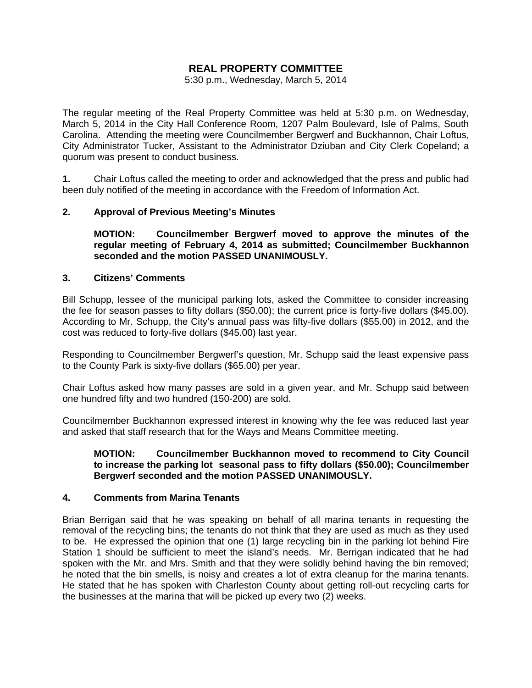# **REAL PROPERTY COMMITTEE**

5:30 p.m., Wednesday, March 5, 2014

The regular meeting of the Real Property Committee was held at 5:30 p.m. on Wednesday, March 5, 2014 in the City Hall Conference Room, 1207 Palm Boulevard, Isle of Palms, South Carolina. Attending the meeting were Councilmember Bergwerf and Buckhannon, Chair Loftus, City Administrator Tucker, Assistant to the Administrator Dziuban and City Clerk Copeland; a quorum was present to conduct business.

**1.** Chair Loftus called the meeting to order and acknowledged that the press and public had been duly notified of the meeting in accordance with the Freedom of Information Act.

## **2. Approval of Previous Meeting's Minutes**

 **MOTION: Councilmember Bergwerf moved to approve the minutes of the regular meeting of February 4, 2014 as submitted; Councilmember Buckhannon seconded and the motion PASSED UNANIMOUSLY.** 

## **3. Citizens' Comments**

Bill Schupp, lessee of the municipal parking lots, asked the Committee to consider increasing the fee for season passes to fifty dollars (\$50.00); the current price is forty-five dollars (\$45.00). According to Mr. Schupp, the City's annual pass was fifty-five dollars (\$55.00) in 2012, and the cost was reduced to forty-five dollars (\$45.00) last year.

Responding to Councilmember Bergwerf's question, Mr. Schupp said the least expensive pass to the County Park is sixty-five dollars (\$65.00) per year.

Chair Loftus asked how many passes are sold in a given year, and Mr. Schupp said between one hundred fifty and two hundred (150-200) are sold.

Councilmember Buckhannon expressed interest in knowing why the fee was reduced last year and asked that staff research that for the Ways and Means Committee meeting.

## **MOTION: Councilmember Buckhannon moved to recommend to City Council to increase the parking lot seasonal pass to fifty dollars (\$50.00); Councilmember Bergwerf seconded and the motion PASSED UNANIMOUSLY.**

## **4. Comments from Marina Tenants**

Brian Berrigan said that he was speaking on behalf of all marina tenants in requesting the removal of the recycling bins; the tenants do not think that they are used as much as they used to be. He expressed the opinion that one (1) large recycling bin in the parking lot behind Fire Station 1 should be sufficient to meet the island's needs. Mr. Berrigan indicated that he had spoken with the Mr. and Mrs. Smith and that they were solidly behind having the bin removed; he noted that the bin smells, is noisy and creates a lot of extra cleanup for the marina tenants. He stated that he has spoken with Charleston County about getting roll-out recycling carts for the businesses at the marina that will be picked up every two (2) weeks.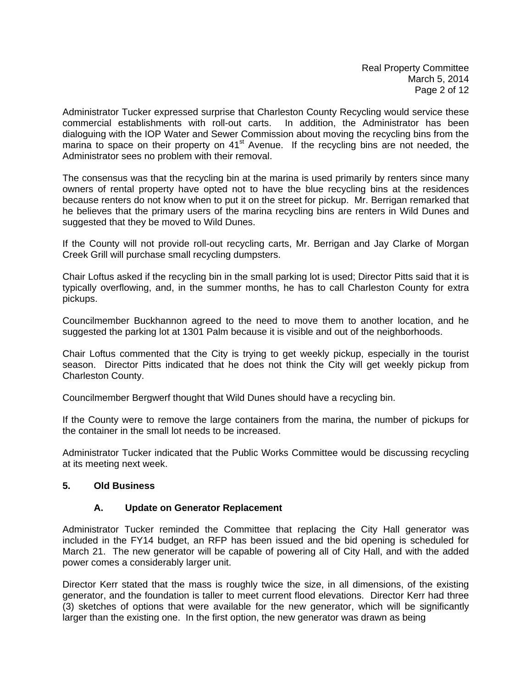Administrator Tucker expressed surprise that Charleston County Recycling would service these commercial establishments with roll-out carts. In addition, the Administrator has been dialoguing with the IOP Water and Sewer Commission about moving the recycling bins from the marina to space on their property on  $41<sup>st</sup>$  Avenue. If the recycling bins are not needed, the Administrator sees no problem with their removal.

The consensus was that the recycling bin at the marina is used primarily by renters since many owners of rental property have opted not to have the blue recycling bins at the residences because renters do not know when to put it on the street for pickup. Mr. Berrigan remarked that he believes that the primary users of the marina recycling bins are renters in Wild Dunes and suggested that they be moved to Wild Dunes.

If the County will not provide roll-out recycling carts, Mr. Berrigan and Jay Clarke of Morgan Creek Grill will purchase small recycling dumpsters.

Chair Loftus asked if the recycling bin in the small parking lot is used; Director Pitts said that it is typically overflowing, and, in the summer months, he has to call Charleston County for extra pickups.

Councilmember Buckhannon agreed to the need to move them to another location, and he suggested the parking lot at 1301 Palm because it is visible and out of the neighborhoods.

Chair Loftus commented that the City is trying to get weekly pickup, especially in the tourist season. Director Pitts indicated that he does not think the City will get weekly pickup from Charleston County.

Councilmember Bergwerf thought that Wild Dunes should have a recycling bin.

If the County were to remove the large containers from the marina, the number of pickups for the container in the small lot needs to be increased.

Administrator Tucker indicated that the Public Works Committee would be discussing recycling at its meeting next week.

## **5. Old Business**

## **A. Update on Generator Replacement**

Administrator Tucker reminded the Committee that replacing the City Hall generator was included in the FY14 budget, an RFP has been issued and the bid opening is scheduled for March 21. The new generator will be capable of powering all of City Hall, and with the added power comes a considerably larger unit.

Director Kerr stated that the mass is roughly twice the size, in all dimensions, of the existing generator, and the foundation is taller to meet current flood elevations. Director Kerr had three (3) sketches of options that were available for the new generator, which will be significantly larger than the existing one. In the first option, the new generator was drawn as being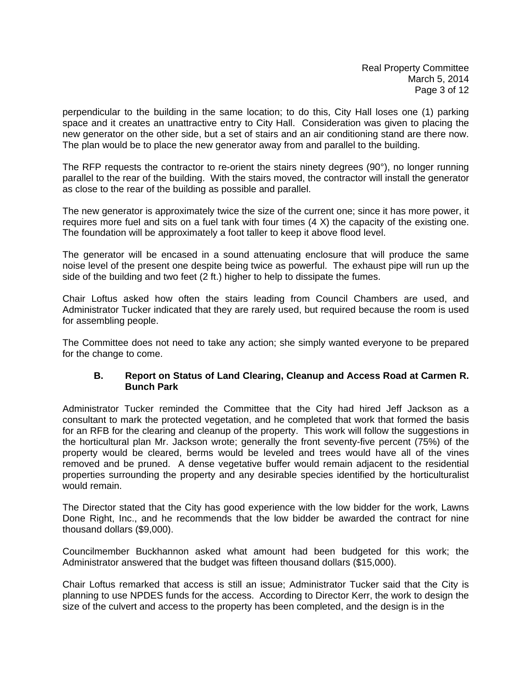perpendicular to the building in the same location; to do this, City Hall loses one (1) parking space and it creates an unattractive entry to City Hall. Consideration was given to placing the new generator on the other side, but a set of stairs and an air conditioning stand are there now. The plan would be to place the new generator away from and parallel to the building.

The RFP requests the contractor to re-orient the stairs ninety degrees (90°), no longer running parallel to the rear of the building. With the stairs moved, the contractor will install the generator as close to the rear of the building as possible and parallel.

The new generator is approximately twice the size of the current one; since it has more power, it requires more fuel and sits on a fuel tank with four times (4 X) the capacity of the existing one. The foundation will be approximately a foot taller to keep it above flood level.

The generator will be encased in a sound attenuating enclosure that will produce the same noise level of the present one despite being twice as powerful. The exhaust pipe will run up the side of the building and two feet (2 ft.) higher to help to dissipate the fumes.

Chair Loftus asked how often the stairs leading from Council Chambers are used, and Administrator Tucker indicated that they are rarely used, but required because the room is used for assembling people.

The Committee does not need to take any action; she simply wanted everyone to be prepared for the change to come.

# **B. Report on Status of Land Clearing, Cleanup and Access Road at Carmen R. Bunch Park**

Administrator Tucker reminded the Committee that the City had hired Jeff Jackson as a consultant to mark the protected vegetation, and he completed that work that formed the basis for an RFB for the clearing and cleanup of the property. This work will follow the suggestions in the horticultural plan Mr. Jackson wrote; generally the front seventy-five percent (75%) of the property would be cleared, berms would be leveled and trees would have all of the vines removed and be pruned. A dense vegetative buffer would remain adjacent to the residential properties surrounding the property and any desirable species identified by the horticulturalist would remain.

The Director stated that the City has good experience with the low bidder for the work, Lawns Done Right, Inc., and he recommends that the low bidder be awarded the contract for nine thousand dollars (\$9,000).

Councilmember Buckhannon asked what amount had been budgeted for this work; the Administrator answered that the budget was fifteen thousand dollars (\$15,000).

Chair Loftus remarked that access is still an issue; Administrator Tucker said that the City is planning to use NPDES funds for the access. According to Director Kerr, the work to design the size of the culvert and access to the property has been completed, and the design is in the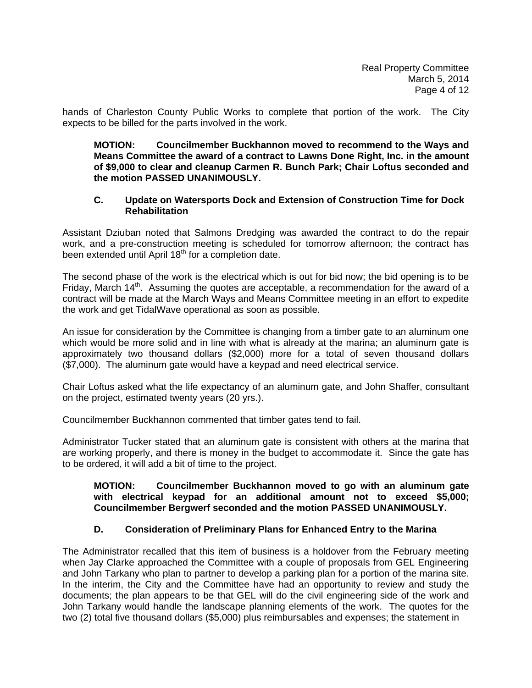hands of Charleston County Public Works to complete that portion of the work. The City expects to be billed for the parts involved in the work.

## **MOTION: Councilmember Buckhannon moved to recommend to the Ways and Means Committee the award of a contract to Lawns Done Right, Inc. in the amount of \$9,000 to clear and cleanup Carmen R. Bunch Park; Chair Loftus seconded and the motion PASSED UNANIMOUSLY.**

## **C. Update on Watersports Dock and Extension of Construction Time for Dock Rehabilitation**

Assistant Dziuban noted that Salmons Dredging was awarded the contract to do the repair work, and a pre-construction meeting is scheduled for tomorrow afternoon; the contract has been extended until April  $18<sup>th</sup>$  for a completion date.

The second phase of the work is the electrical which is out for bid now; the bid opening is to be Friday, March  $14<sup>th</sup>$ . Assuming the quotes are acceptable, a recommendation for the award of a contract will be made at the March Ways and Means Committee meeting in an effort to expedite the work and get TidalWave operational as soon as possible.

An issue for consideration by the Committee is changing from a timber gate to an aluminum one which would be more solid and in line with what is already at the marina; an aluminum gate is approximately two thousand dollars (\$2,000) more for a total of seven thousand dollars (\$7,000). The aluminum gate would have a keypad and need electrical service.

Chair Loftus asked what the life expectancy of an aluminum gate, and John Shaffer, consultant on the project, estimated twenty years (20 yrs.).

Councilmember Buckhannon commented that timber gates tend to fail.

Administrator Tucker stated that an aluminum gate is consistent with others at the marina that are working properly, and there is money in the budget to accommodate it. Since the gate has to be ordered, it will add a bit of time to the project.

## **MOTION: Councilmember Buckhannon moved to go with an aluminum gate with electrical keypad for an additional amount not to exceed \$5,000; Councilmember Bergwerf seconded and the motion PASSED UNANIMOUSLY.**

# **D. Consideration of Preliminary Plans for Enhanced Entry to the Marina**

The Administrator recalled that this item of business is a holdover from the February meeting when Jay Clarke approached the Committee with a couple of proposals from GEL Engineering and John Tarkany who plan to partner to develop a parking plan for a portion of the marina site. In the interim, the City and the Committee have had an opportunity to review and study the documents; the plan appears to be that GEL will do the civil engineering side of the work and John Tarkany would handle the landscape planning elements of the work. The quotes for the two (2) total five thousand dollars (\$5,000) plus reimbursables and expenses; the statement in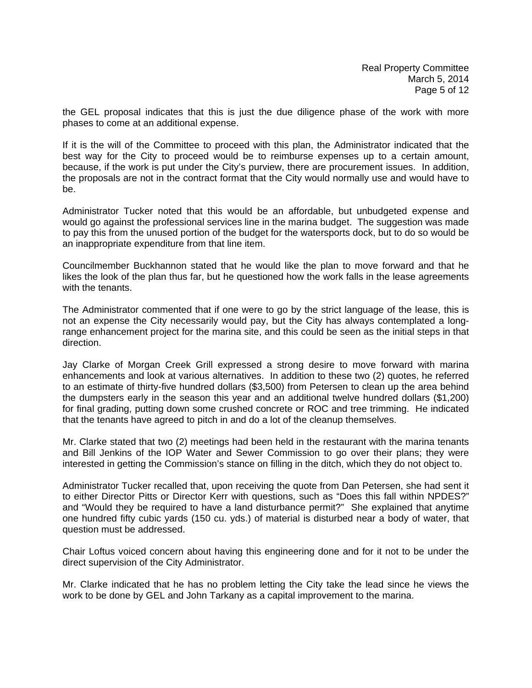the GEL proposal indicates that this is just the due diligence phase of the work with more phases to come at an additional expense.

If it is the will of the Committee to proceed with this plan, the Administrator indicated that the best way for the City to proceed would be to reimburse expenses up to a certain amount, because, if the work is put under the City's purview, there are procurement issues. In addition, the proposals are not in the contract format that the City would normally use and would have to be.

Administrator Tucker noted that this would be an affordable, but unbudgeted expense and would go against the professional services line in the marina budget. The suggestion was made to pay this from the unused portion of the budget for the watersports dock, but to do so would be an inappropriate expenditure from that line item.

Councilmember Buckhannon stated that he would like the plan to move forward and that he likes the look of the plan thus far, but he questioned how the work falls in the lease agreements with the tenants.

The Administrator commented that if one were to go by the strict language of the lease, this is not an expense the City necessarily would pay, but the City has always contemplated a longrange enhancement project for the marina site, and this could be seen as the initial steps in that direction.

Jay Clarke of Morgan Creek Grill expressed a strong desire to move forward with marina enhancements and look at various alternatives. In addition to these two (2) quotes, he referred to an estimate of thirty-five hundred dollars (\$3,500) from Petersen to clean up the area behind the dumpsters early in the season this year and an additional twelve hundred dollars (\$1,200) for final grading, putting down some crushed concrete or ROC and tree trimming. He indicated that the tenants have agreed to pitch in and do a lot of the cleanup themselves.

Mr. Clarke stated that two (2) meetings had been held in the restaurant with the marina tenants and Bill Jenkins of the IOP Water and Sewer Commission to go over their plans; they were interested in getting the Commission's stance on filling in the ditch, which they do not object to.

Administrator Tucker recalled that, upon receiving the quote from Dan Petersen, she had sent it to either Director Pitts or Director Kerr with questions, such as "Does this fall within NPDES?" and "Would they be required to have a land disturbance permit?" She explained that anytime one hundred fifty cubic yards (150 cu. yds.) of material is disturbed near a body of water, that question must be addressed.

Chair Loftus voiced concern about having this engineering done and for it not to be under the direct supervision of the City Administrator.

Mr. Clarke indicated that he has no problem letting the City take the lead since he views the work to be done by GEL and John Tarkany as a capital improvement to the marina.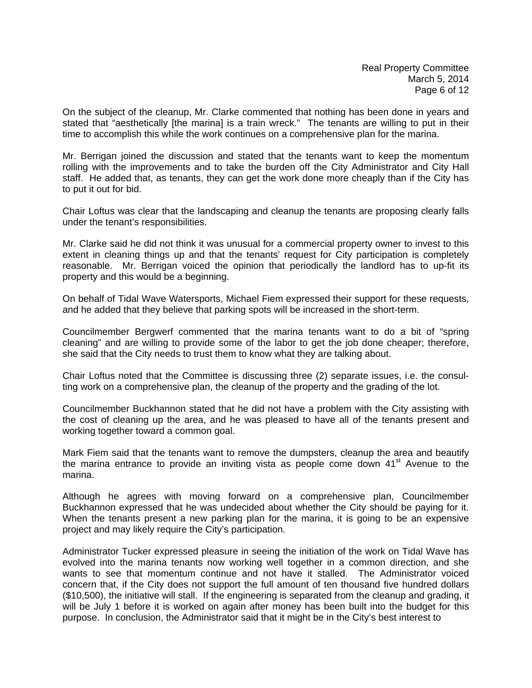On the subject of the cleanup, Mr. Clarke commented that nothing has been done in years and stated that "aesthetically [the marina] is a train wreck." The tenants are willing to put in their time to accomplish this while the work continues on a comprehensive plan for the marina.

Mr. Berrigan joined the discussion and stated that the tenants want to keep the momentum rolling with the improvements and to take the burden off the City Administrator and City Hall staff. He added that, as tenants, they can get the work done more cheaply than if the City has to put it out for bid.

Chair Loftus was clear that the landscaping and cleanup the tenants are proposing clearly falls under the tenant's responsibilities.

Mr. Clarke said he did not think it was unusual for a commercial property owner to invest to this extent in cleaning things up and that the tenants' request for City participation is completely reasonable. Mr. Berrigan voiced the opinion that periodically the landlord has to up-fit its property and this would be a beginning.

On behalf of Tidal Wave Watersports, Michael Fiem expressed their support for these requests, and he added that they believe that parking spots will be increased in the short-term.

Councilmember Bergwerf commented that the marina tenants want to do a bit of "spring cleaning" and are willing to provide some of the labor to get the job done cheaper; therefore, she said that the City needs to trust them to know what they are talking about.

Chair Loftus noted that the Committee is discussing three (2) separate issues, i.e. the consulting work on a comprehensive plan, the cleanup of the property and the grading of the lot.

Councilmember Buckhannon stated that he did not have a problem with the City assisting with the cost of cleaning up the area, and he was pleased to have all of the tenants present and working together toward a common goal.

Mark Fiem said that the tenants want to remove the dumpsters, cleanup the area and beautify the marina entrance to provide an inviting vista as people come down  $41<sup>st</sup>$  Avenue to the marina.

Although he agrees with moving forward on a comprehensive plan, Councilmember Buckhannon expressed that he was undecided about whether the City should be paying for it. When the tenants present a new parking plan for the marina, it is going to be an expensive project and may likely require the City's participation.

Administrator Tucker expressed pleasure in seeing the initiation of the work on Tidal Wave has evolved into the marina tenants now working well together in a common direction, and she wants to see that momentum continue and not have it stalled. The Administrator voiced concern that, if the City does not support the full amount of ten thousand five hundred dollars (\$10,500), the initiative will stall. If the engineering is separated from the cleanup and grading, it will be July 1 before it is worked on again after money has been built into the budget for this purpose. In conclusion, the Administrator said that it might be in the City's best interest to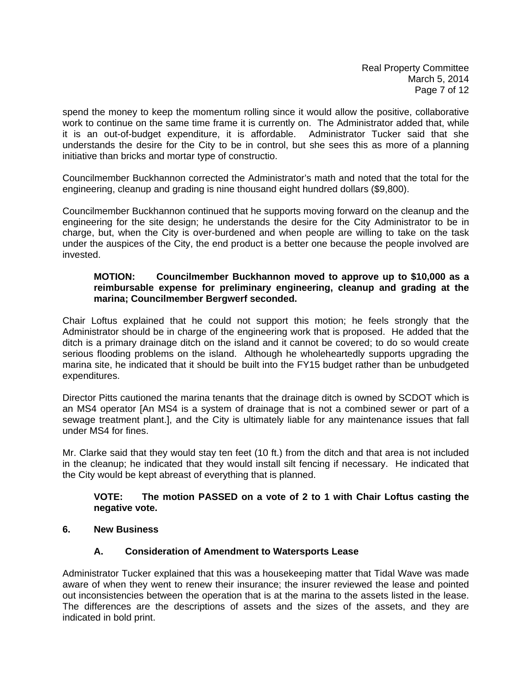spend the money to keep the momentum rolling since it would allow the positive, collaborative work to continue on the same time frame it is currently on. The Administrator added that, while it is an out-of-budget expenditure, it is affordable. Administrator Tucker said that she understands the desire for the City to be in control, but she sees this as more of a planning initiative than bricks and mortar type of constructio.

Councilmember Buckhannon corrected the Administrator's math and noted that the total for the engineering, cleanup and grading is nine thousand eight hundred dollars (\$9,800).

Councilmember Buckhannon continued that he supports moving forward on the cleanup and the engineering for the site design; he understands the desire for the City Administrator to be in charge, but, when the City is over-burdened and when people are willing to take on the task under the auspices of the City, the end product is a better one because the people involved are invested.

# **MOTION: Councilmember Buckhannon moved to approve up to \$10,000 as a reimbursable expense for preliminary engineering, cleanup and grading at the marina; Councilmember Bergwerf seconded.**

Chair Loftus explained that he could not support this motion; he feels strongly that the Administrator should be in charge of the engineering work that is proposed. He added that the ditch is a primary drainage ditch on the island and it cannot be covered; to do so would create serious flooding problems on the island. Although he wholeheartedly supports upgrading the marina site, he indicated that it should be built into the FY15 budget rather than be unbudgeted expenditures.

Director Pitts cautioned the marina tenants that the drainage ditch is owned by SCDOT which is an MS4 operator [An MS4 is a system of drainage that is not a combined sewer or part of a sewage treatment plant.], and the City is ultimately liable for any maintenance issues that fall under MS4 for fines.

Mr. Clarke said that they would stay ten feet (10 ft.) from the ditch and that area is not included in the cleanup; he indicated that they would install silt fencing if necessary. He indicated that the City would be kept abreast of everything that is planned.

# **VOTE: The motion PASSED on a vote of 2 to 1 with Chair Loftus casting the negative vote.**

**6. New Business** 

# **A. Consideration of Amendment to Watersports Lease**

Administrator Tucker explained that this was a housekeeping matter that Tidal Wave was made aware of when they went to renew their insurance; the insurer reviewed the lease and pointed out inconsistencies between the operation that is at the marina to the assets listed in the lease. The differences are the descriptions of assets and the sizes of the assets, and they are indicated in bold print.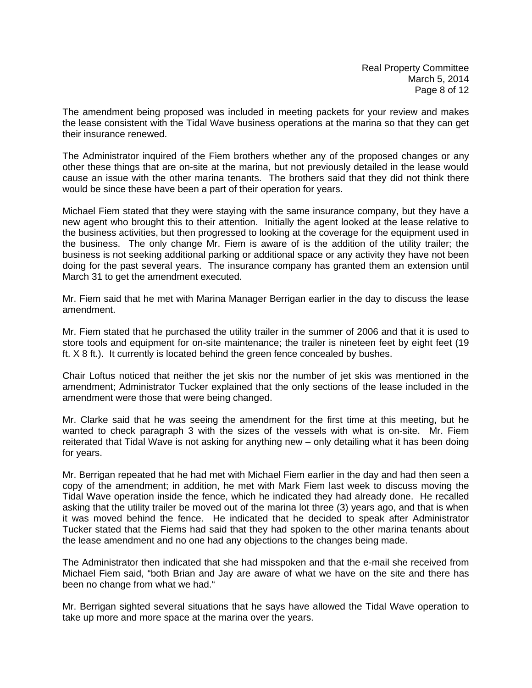The amendment being proposed was included in meeting packets for your review and makes the lease consistent with the Tidal Wave business operations at the marina so that they can get their insurance renewed.

The Administrator inquired of the Fiem brothers whether any of the proposed changes or any other these things that are on-site at the marina, but not previously detailed in the lease would cause an issue with the other marina tenants. The brothers said that they did not think there would be since these have been a part of their operation for years.

Michael Fiem stated that they were staying with the same insurance company, but they have a new agent who brought this to their attention. Initially the agent looked at the lease relative to the business activities, but then progressed to looking at the coverage for the equipment used in the business. The only change Mr. Fiem is aware of is the addition of the utility trailer; the business is not seeking additional parking or additional space or any activity they have not been doing for the past several years. The insurance company has granted them an extension until March 31 to get the amendment executed.

Mr. Fiem said that he met with Marina Manager Berrigan earlier in the day to discuss the lease amendment.

Mr. Fiem stated that he purchased the utility trailer in the summer of 2006 and that it is used to store tools and equipment for on-site maintenance; the trailer is nineteen feet by eight feet (19 ft. X 8 ft.). It currently is located behind the green fence concealed by bushes.

Chair Loftus noticed that neither the jet skis nor the number of jet skis was mentioned in the amendment; Administrator Tucker explained that the only sections of the lease included in the amendment were those that were being changed.

Mr. Clarke said that he was seeing the amendment for the first time at this meeting, but he wanted to check paragraph 3 with the sizes of the vessels with what is on-site. Mr. Fiem reiterated that Tidal Wave is not asking for anything new – only detailing what it has been doing for years.

Mr. Berrigan repeated that he had met with Michael Fiem earlier in the day and had then seen a copy of the amendment; in addition, he met with Mark Fiem last week to discuss moving the Tidal Wave operation inside the fence, which he indicated they had already done. He recalled asking that the utility trailer be moved out of the marina lot three (3) years ago, and that is when it was moved behind the fence. He indicated that he decided to speak after Administrator Tucker stated that the Fiems had said that they had spoken to the other marina tenants about the lease amendment and no one had any objections to the changes being made.

The Administrator then indicated that she had misspoken and that the e-mail she received from Michael Fiem said, "both Brian and Jay are aware of what we have on the site and there has been no change from what we had."

Mr. Berrigan sighted several situations that he says have allowed the Tidal Wave operation to take up more and more space at the marina over the years.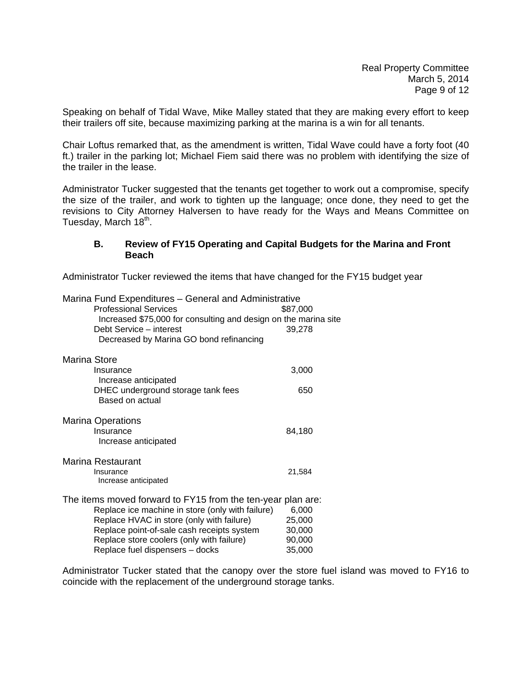Speaking on behalf of Tidal Wave, Mike Malley stated that they are making every effort to keep their trailers off site, because maximizing parking at the marina is a win for all tenants.

Chair Loftus remarked that, as the amendment is written, Tidal Wave could have a forty foot (40 ft.) trailer in the parking lot; Michael Fiem said there was no problem with identifying the size of the trailer in the lease.

Administrator Tucker suggested that the tenants get together to work out a compromise, specify the size of the trailer, and work to tighten up the language; once done, they need to get the revisions to City Attorney Halversen to have ready for the Ways and Means Committee on Tuesday, March 18<sup>th</sup>.

## **B. Review of FY15 Operating and Capital Budgets for the Marina and Front Beach**

Administrator Tucker reviewed the items that have changed for the FY15 budget year

| Marina Fund Expenditures - General and Administrative<br><b>Professional Services</b><br>Increased \$75,000 for consulting and design on the marina site<br>Debt Service - interest<br>Decreased by Marina GO bond refinancing | \$87,000<br>39,278 |  |
|--------------------------------------------------------------------------------------------------------------------------------------------------------------------------------------------------------------------------------|--------------------|--|
| Marina Store                                                                                                                                                                                                                   |                    |  |
| Insurance<br>Increase anticipated                                                                                                                                                                                              | 3,000              |  |
| DHEC underground storage tank fees<br>Based on actual                                                                                                                                                                          | 650                |  |
| <b>Marina Operations</b>                                                                                                                                                                                                       |                    |  |
| Insurance<br>Increase anticipated                                                                                                                                                                                              | 84,180             |  |
| Marina Restaurant                                                                                                                                                                                                              |                    |  |
| Insurance<br>Increase anticipated                                                                                                                                                                                              | 21,584             |  |
| The items moved forward to FY15 from the ten-year plan are:                                                                                                                                                                    |                    |  |
| Replace ice machine in store (only with failure)                                                                                                                                                                               | 6,000              |  |
| Replace HVAC in store (only with failure)<br>Replace point-of-sale cash receipts system                                                                                                                                        | 25,000<br>30,000   |  |
| Replace store coolers (only with failure)                                                                                                                                                                                      | 90,000             |  |
| Replace fuel dispensers - docks                                                                                                                                                                                                | 35,000             |  |
|                                                                                                                                                                                                                                |                    |  |

Administrator Tucker stated that the canopy over the store fuel island was moved to FY16 to coincide with the replacement of the underground storage tanks.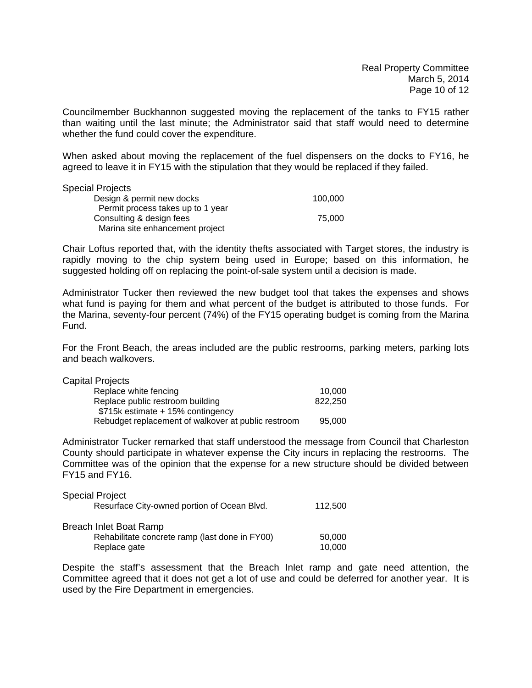Councilmember Buckhannon suggested moving the replacement of the tanks to FY15 rather than waiting until the last minute; the Administrator said that staff would need to determine whether the fund could cover the expenditure.

When asked about moving the replacement of the fuel dispensers on the docks to FY16, he agreed to leave it in FY15 with the stipulation that they would be replaced if they failed.

## Special Projects

| opoviai i vivou                   |         |
|-----------------------------------|---------|
| Design & permit new docks         | 100.000 |
| Permit process takes up to 1 year |         |
| Consulting & design fees          | 75.000  |
| Marina site enhancement project   |         |

Chair Loftus reported that, with the identity thefts associated with Target stores, the industry is rapidly moving to the chip system being used in Europe; based on this information, he suggested holding off on replacing the point-of-sale system until a decision is made.

Administrator Tucker then reviewed the new budget tool that takes the expenses and shows what fund is paying for them and what percent of the budget is attributed to those funds. For the Marina, seventy-four percent (74%) of the FY15 operating budget is coming from the Marina Fund.

For the Front Beach, the areas included are the public restrooms, parking meters, parking lots and beach walkovers.

| Capital Projects                                    |         |
|-----------------------------------------------------|---------|
| Replace white fencing                               | 10.000  |
| Replace public restroom building                    | 822,250 |
| \$715k estimate + 15% contingency                   |         |
| Rebudget replacement of walkover at public restroom | 95.000  |

Administrator Tucker remarked that staff understood the message from Council that Charleston County should participate in whatever expense the City incurs in replacing the restrooms. The Committee was of the opinion that the expense for a new structure should be divided between FY15 and FY16.

| <b>Special Project</b>                         |         |
|------------------------------------------------|---------|
| Resurface City-owned portion of Ocean Blvd.    | 112,500 |
| Breach Inlet Boat Ramp                         |         |
| Rehabilitate concrete ramp (last done in FY00) | 50,000  |
| Replace gate                                   | 10,000  |

Despite the staff's assessment that the Breach Inlet ramp and gate need attention, the Committee agreed that it does not get a lot of use and could be deferred for another year. It is used by the Fire Department in emergencies.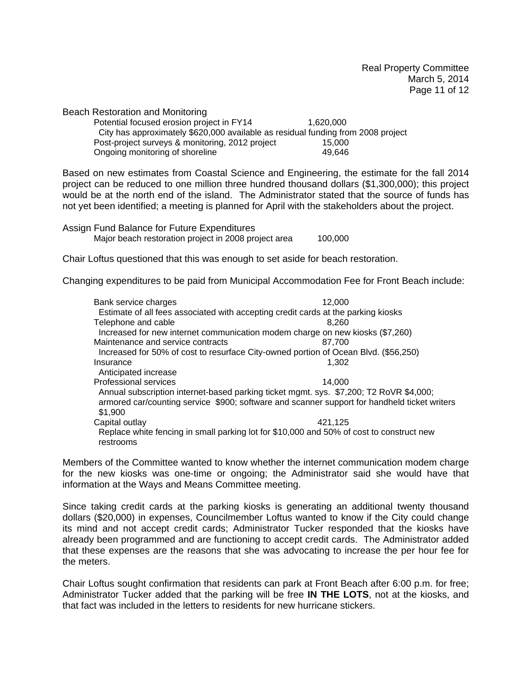Beach Restoration and Monitoring

Potential focused erosion project in FY14 1,620,000 City has approximately \$620,000 available as residual funding from 2008 project Post-project surveys & monitoring, 2012 project 15,000 Ongoing monitoring of shoreline 19,646

Based on new estimates from Coastal Science and Engineering, the estimate for the fall 2014 project can be reduced to one million three hundred thousand dollars (\$1,300,000); this project would be at the north end of the island. The Administrator stated that the source of funds has not yet been identified; a meeting is planned for April with the stakeholders about the project.

Assign Fund Balance for Future Expenditures

Major beach restoration project in 2008 project area 100,000

Chair Loftus questioned that this was enough to set aside for beach restoration.

Changing expenditures to be paid from Municipal Accommodation Fee for Front Beach include:

| Bank service charges              | 12.000                                                                                       |
|-----------------------------------|----------------------------------------------------------------------------------------------|
|                                   | Estimate of all fees associated with accepting credit cards at the parking kiosks            |
| Telephone and cable               | 8.260                                                                                        |
|                                   | Increased for new internet communication modem charge on new kiosks (\$7,260)                |
| Maintenance and service contracts | 87.700                                                                                       |
|                                   | Increased for 50% of cost to resurface City-owned portion of Ocean Blvd. (\$56,250)          |
| Insurance                         | 1.302                                                                                        |
| Anticipated increase              |                                                                                              |
| Professional services             | 14.000                                                                                       |
|                                   | Annual subscription internet-based parking ticket mgmt. sys. \$7,200; T2 RoVR \$4,000;       |
|                                   | armored car/counting service \$900; software and scanner support for handheld ticket writers |
| \$1,900                           |                                                                                              |
| Capital outlay                    | 421.125                                                                                      |
|                                   | Replace white fencing in small parking lot for \$10,000 and 50% of cost to construct new     |
| restrooms                         |                                                                                              |

Members of the Committee wanted to know whether the internet communication modem charge for the new kiosks was one-time or ongoing; the Administrator said she would have that information at the Ways and Means Committee meeting.

Since taking credit cards at the parking kiosks is generating an additional twenty thousand dollars (\$20,000) in expenses, Councilmember Loftus wanted to know if the City could change its mind and not accept credit cards; Administrator Tucker responded that the kiosks have already been programmed and are functioning to accept credit cards. The Administrator added that these expenses are the reasons that she was advocating to increase the per hour fee for the meters.

Chair Loftus sought confirmation that residents can park at Front Beach after 6:00 p.m. for free; Administrator Tucker added that the parking will be free **IN THE LOTS**, not at the kiosks, and that fact was included in the letters to residents for new hurricane stickers.